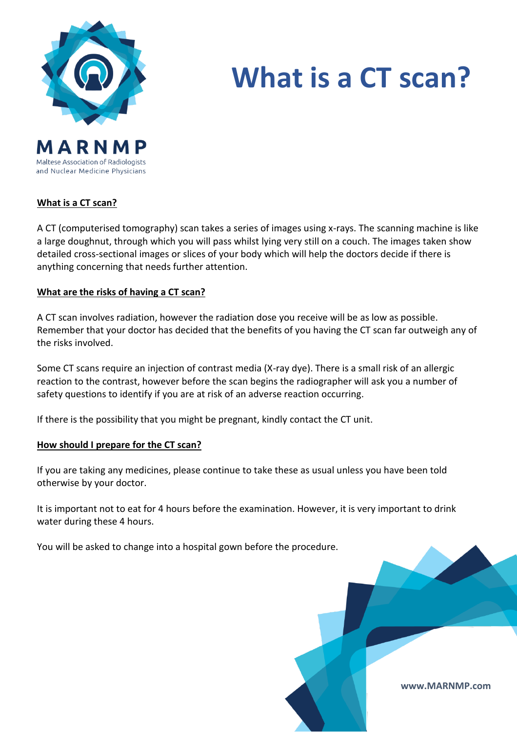

Maltese Association of Radiologists and Nuclear Medicine Physicians

# **What is a CT scan?**

## **What is a CT scan?**

A CT (computerised tomography) scan takes a series of images using x-rays. The scanning machine is like a large doughnut, through which you will pass whilst lying very still on a couch. The images taken show detailed cross-sectional images or slices of your body which will help the doctors decide if there is anything concerning that needs further attention.

## **What are the risks of having a CT scan?**

A CT scan involves radiation, however the radiation dose you receive will be as low as possible. Remember that your doctor has decided that the benefits of you having the CT scan far outweigh any of the risks involved.

Some CT scans require an injection of contrast media (X-ray dye). There is a small risk of an allergic reaction to the contrast, however before the scan begins the radiographer will ask you a number of safety questions to identify if you are at risk of an adverse reaction occurring.

If there is the possibility that you might be pregnant, kindly contact the CT unit.

#### **How should I prepare for the CT scan?**

If you are taking any medicines, please continue to take these as usual unless you have been told otherwise by your doctor.

It is important not to eat for 4 hours before the examination. However, it is very important to drink water during these 4 hours.

You will be asked to change into a hospital gown before the procedure.

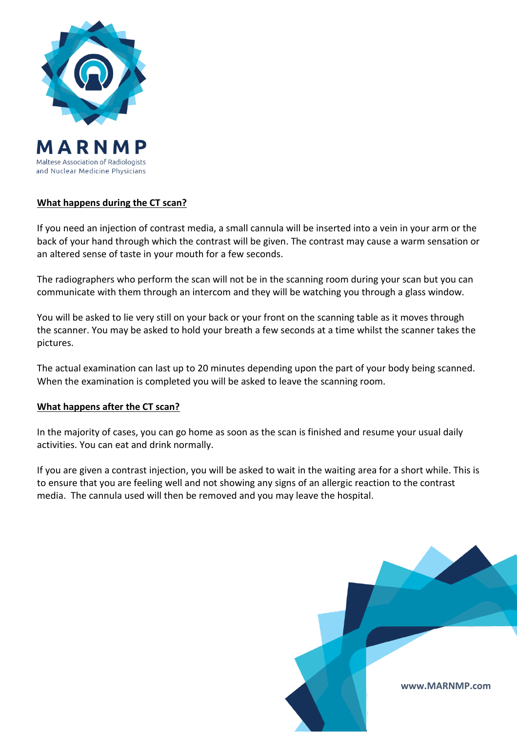

Maltese Association of Radiologists and Nuclear Medicine Physicians

# **What happens during the CT scan?**

If you need an injection of contrast media, a small cannula will be inserted into a vein in your arm or the back of your hand through which the contrast will be given. The contrast may cause a warm sensation or an altered sense of taste in your mouth for a few seconds.

The radiographers who perform the scan will not be in the scanning room during your scan but you can communicate with them through an intercom and they will be watching you through a glass window.

You will be asked to lie very still on your back or your front on the scanning table as it moves through the scanner. You may be asked to hold your breath a few seconds at a time whilst the scanner takes the pictures.

The actual examination can last up to 20 minutes depending upon the part of your body being scanned. When the examination is completed you will be asked to leave the scanning room.

# **What happens after the CT scan?**

In the majority of cases, you can go home as soon as the scan is finished and resume your usual daily activities. You can eat and drink normally.

If you are given a contrast injection, you will be asked to wait in the waiting area for a short while. This is to ensure that you are feeling well and not showing any signs of an allergic reaction to the contrast media. The cannula used will then be removed and you may leave the hospital.